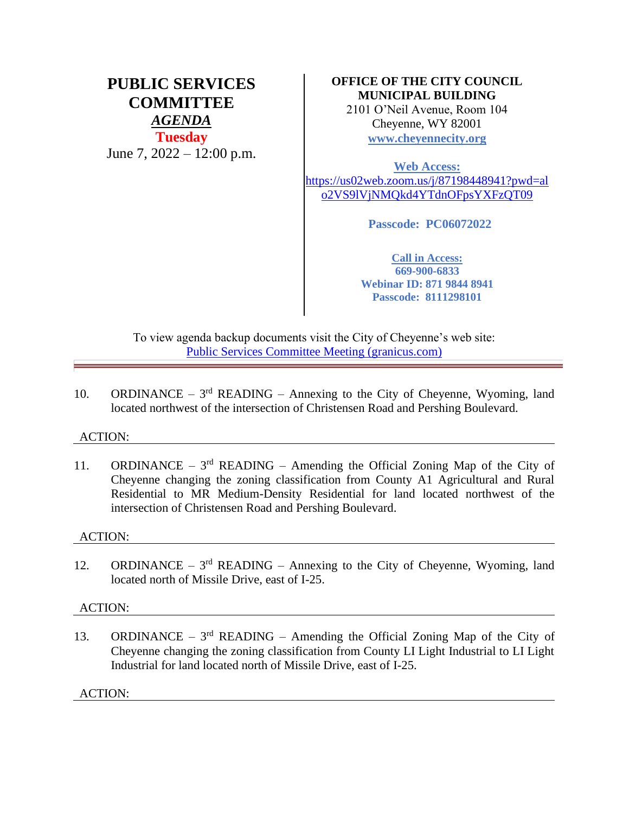# **PUBLIC SERVICES COMMITTEE** *AGENDA* **Tuesday** June 7,  $2022 - 12:00$  p.m.

# **OFFICE OF THE CITY COUNCIL MUNICIPAL BUILDING**

2101 O'Neil Avenue, Room 104 Cheyenne, WY 82001 **[www.cheyennecity.org](http://www.cheyennecity.org/)**

**Web Access:**  [https://us02web.zoom.us/j/87198448941?pwd=al](https://us02web.zoom.us/j/87198448941?pwd=alo2VS9lVjNMQkd4YTdnOFpsYXFzQT09) [o2VS9lVjNMQkd4YTdnOFpsYXFzQT09](https://us02web.zoom.us/j/87198448941?pwd=alo2VS9lVjNMQkd4YTdnOFpsYXFzQT09)

**Passcode: PC06072022**

**Call in Access: 669-900-6833 Webinar ID: 871 9844 8941 Passcode: 8111298101**

To view agenda backup documents visit the City of Cheyenne's web site: [Public Services Committee Meeting \(granicus.com\)](https://cheyenne.granicus.com/GeneratedAgendaViewer.php?event_id=1076)

10. ORDINANCE –  $3<sup>rd</sup>$  READING – Annexing to the City of Cheyenne, Wyoming, land located northwest of the intersection of Christensen Road and Pershing Boulevard.

## ACTION:

11. ORDINANCE –  $3<sup>rd</sup>$  READING – Amending the Official Zoning Map of the City of Cheyenne changing the zoning classification from County A1 Agricultural and Rural Residential to MR Medium-Density Residential for land located northwest of the intersection of Christensen Road and Pershing Boulevard.

## ACTION:

12. ORDINANCE –  $3<sup>rd</sup>$  READING – Annexing to the City of Cheyenne, Wyoming, land located north of Missile Drive, east of I-25.

## ACTION:

13. ORDINANCE –  $3<sup>rd</sup>$  READING – Amending the Official Zoning Map of the City of Cheyenne changing the zoning classification from County LI Light Industrial to LI Light Industrial for land located north of Missile Drive, east of I-25.

ACTION: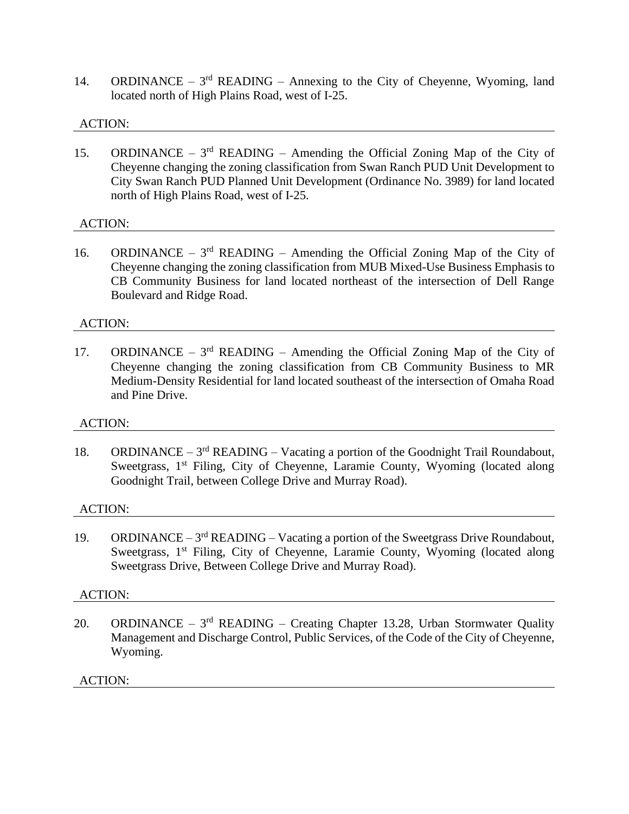14. ORDINANCE –  $3<sup>rd</sup>$  READING – Annexing to the City of Cheyenne, Wyoming, land located north of High Plains Road, west of I-25.

# ACTION:

15. ORDINANCE –  $3<sup>rd</sup>$  READING – Amending the Official Zoning Map of the City of Cheyenne changing the zoning classification from Swan Ranch PUD Unit Development to City Swan Ranch PUD Planned Unit Development (Ordinance No. 3989) for land located north of High Plains Road, west of I-25.

## ACTION:

16. ORDINANCE –  $3<sup>rd</sup>$  READING – Amending the Official Zoning Map of the City of Cheyenne changing the zoning classification from MUB Mixed-Use Business Emphasis to CB Community Business for land located northeast of the intersection of Dell Range Boulevard and Ridge Road.

## ACTION:

17. ORDINANCE –  $3<sup>rd</sup>$  READING – Amending the Official Zoning Map of the City of Cheyenne changing the zoning classification from CB Community Business to MR Medium-Density Residential for land located southeast of the intersection of Omaha Road and Pine Drive.

## ACTION:

18. ORDINANCE –  $3<sup>rd</sup>$  READING – Vacating a portion of the Goodnight Trail Roundabout, Sweetgrass, 1<sup>st</sup> Filing, City of Cheyenne, Laramie County, Wyoming (located along Goodnight Trail, between College Drive and Murray Road).

## ACTION:

19. ORDINANCE –  $3<sup>rd</sup>$  READING – Vacating a portion of the Sweetgrass Drive Roundabout, Sweetgrass, 1<sup>st</sup> Filing, City of Cheyenne, Laramie County, Wyoming (located along Sweetgrass Drive, Between College Drive and Murray Road).

## ACTION:

20. ORDINANCE –  $3<sup>rd</sup>$  READING – Creating Chapter 13.28, Urban Stormwater Quality Management and Discharge Control, Public Services, of the Code of the City of Cheyenne, Wyoming.

## ACTION: